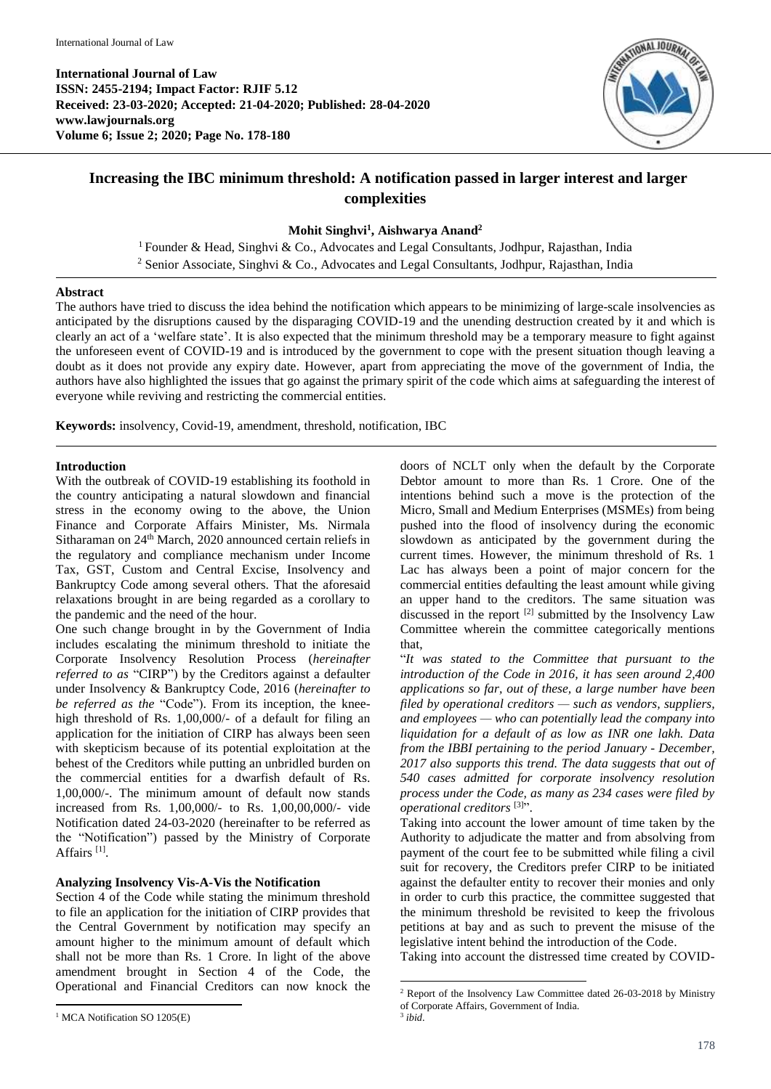

# **Increasing the IBC minimum threshold: A notification passed in larger interest and larger complexities**

## **Mohit Singhvi<sup>1</sup> , Aishwarya Anand<sup>2</sup>**

<sup>1</sup> Founder & Head, Singhvi & Co., Advocates and Legal Consultants, Jodhpur, Rajasthan, India <sup>2</sup> Senior Associate, Singhvi & Co., Advocates and Legal Consultants, Jodhpur, Rajasthan, India

#### **Abstract**

The authors have tried to discuss the idea behind the notification which appears to be minimizing of large-scale insolvencies as anticipated by the disruptions caused by the disparaging COVID-19 and the unending destruction created by it and which is clearly an act of a 'welfare state'. It is also expected that the minimum threshold may be a temporary measure to fight against the unforeseen event of COVID-19 and is introduced by the government to cope with the present situation though leaving a doubt as it does not provide any expiry date. However, apart from appreciating the move of the government of India, the authors have also highlighted the issues that go against the primary spirit of the code which aims at safeguarding the interest of everyone while reviving and restricting the commercial entities.

1

**Keywords:** insolvency, Covid-19, amendment, threshold, notification, IBC

## **Introduction**

With the outbreak of COVID-19 establishing its foothold in the country anticipating a natural slowdown and financial stress in the economy owing to the above, the Union Finance and Corporate Affairs Minister, Ms. Nirmala Sitharaman on 24<sup>th</sup> March, 2020 announced certain reliefs in the regulatory and compliance mechanism under Income Tax, GST, Custom and Central Excise, Insolvency and Bankruptcy Code among several others. That the aforesaid relaxations brought in are being regarded as a corollary to the pandemic and the need of the hour.

One such change brought in by the Government of India includes escalating the minimum threshold to initiate the Corporate Insolvency Resolution Process (*hereinafter referred to as* "CIRP") by the Creditors against a defaulter under Insolvency & Bankruptcy Code, 2016 (*hereinafter to be referred as the* "Code"). From its inception, the kneehigh threshold of Rs. 1,00,000/- of a default for filing an application for the initiation of CIRP has always been seen with skepticism because of its potential exploitation at the behest of the Creditors while putting an unbridled burden on the commercial entities for a dwarfish default of Rs. 1,00,000/-. The minimum amount of default now stands increased from Rs. 1,00,000/- to Rs. 1,00,00,000/- vide Notification dated 24-03-2020 (hereinafter to be referred as the "Notification") passed by the Ministry of Corporate Affairs<sup>[1]</sup>.

## **Analyzing Insolvency Vis-A-Vis the Notification**

Section 4 of the Code while stating the minimum threshold to file an application for the initiation of CIRP provides that the Central Government by notification may specify an amount higher to the minimum amount of default which shall not be more than Rs. 1 Crore. In light of the above amendment brought in Section 4 of the Code, the Operational and Financial Creditors can now knock the doors of NCLT only when the default by the Corporate Debtor amount to more than Rs. 1 Crore. One of the intentions behind such a move is the protection of the Micro, Small and Medium Enterprises (MSMEs) from being pushed into the flood of insolvency during the economic slowdown as anticipated by the government during the current times. However, the minimum threshold of Rs. 1 Lac has always been a point of major concern for the commercial entities defaulting the least amount while giving an upper hand to the creditors. The same situation was discussed in the report <sup>[2]</sup> submitted by the Insolvency Law Committee wherein the committee categorically mentions that,

"*It was stated to the Committee that pursuant to the introduction of the Code in 2016, it has seen around 2,400 applications so far, out of these, a large number have been filed by operational creditors — such as vendors, suppliers, and employees — who can potentially lead the company into liquidation for a default of as low as INR one lakh. Data from the IBBI pertaining to the period January - December, 2017 also supports this trend. The data suggests that out of 540 cases admitted for corporate insolvency resolution process under the Code, as many as 234 cases were filed by operational creditors* [3] ".

Taking into account the lower amount of time taken by the Authority to adjudicate the matter and from absolving from payment of the court fee to be submitted while filing a civil suit for recovery, the Creditors prefer CIRP to be initiated against the defaulter entity to recover their monies and only in order to curb this practice, the committee suggested that the minimum threshold be revisited to keep the frivolous petitions at bay and as such to prevent the misuse of the legislative intent behind the introduction of the Code.

Taking into account the distressed time created by COVID-

<sup>1</sup> <sup>1</sup> MCA Notification SO 1205(E)

<sup>2</sup> Report of the Insolvency Law Committee dated 26-03-2018 by Ministry of Corporate Affairs, Government of India. 3 *ibid*.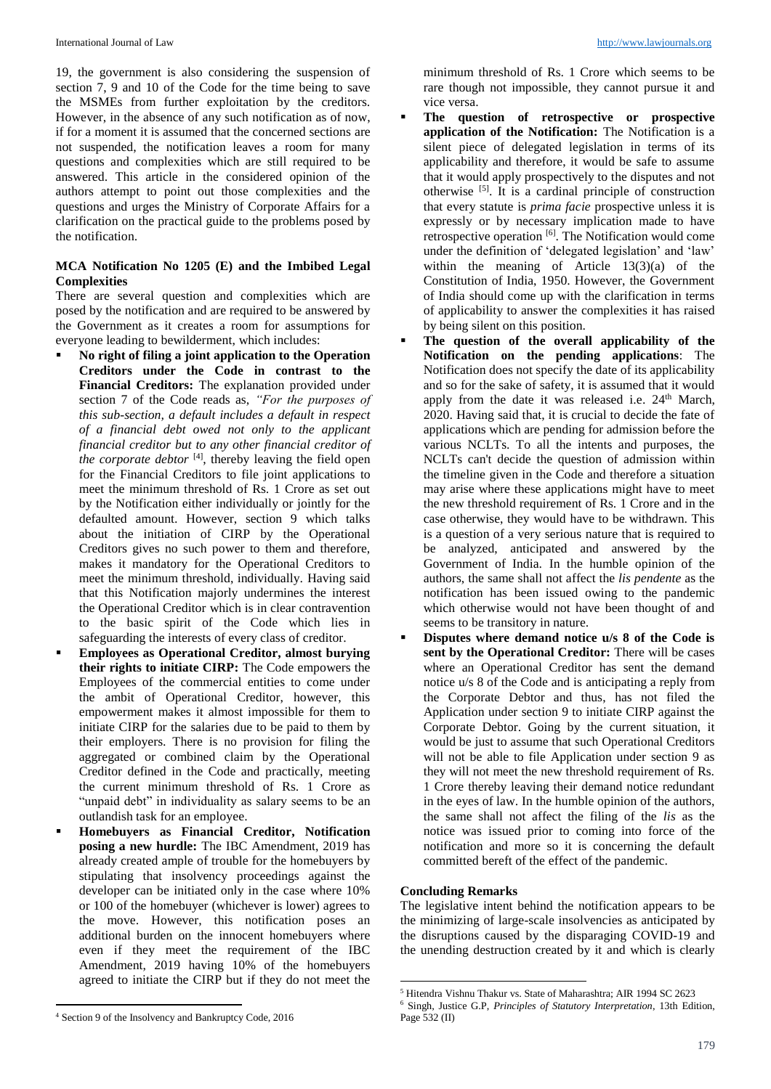19, the government is also considering the suspension of section 7, 9 and 10 of the Code for the time being to save the MSMEs from further exploitation by the creditors. However, in the absence of any such notification as of now, if for a moment it is assumed that the concerned sections are not suspended, the notification leaves a room for many questions and complexities which are still required to be answered. This article in the considered opinion of the authors attempt to point out those complexities and the questions and urges the Ministry of Corporate Affairs for a clarification on the practical guide to the problems posed by the notification.

## **MCA Notification No 1205 (E) and the Imbibed Legal Complexities**

There are several question and complexities which are posed by the notification and are required to be answered by the Government as it creates a room for assumptions for everyone leading to bewilderment, which includes:

- **No right of filing a joint application to the Operation Creditors under the Code in contrast to the Financial Creditors:** The explanation provided under section 7 of the Code reads as, *"For the purposes of this sub-section, a default includes a default in respect of a financial debt owed not only to the applicant financial creditor but to any other financial creditor of the corporate debtor* [4] , thereby leaving the field open for the Financial Creditors to file joint applications to meet the minimum threshold of Rs. 1 Crore as set out by the Notification either individually or jointly for the defaulted amount. However, section 9 which talks about the initiation of CIRP by the Operational Creditors gives no such power to them and therefore, makes it mandatory for the Operational Creditors to meet the minimum threshold, individually. Having said that this Notification majorly undermines the interest the Operational Creditor which is in clear contravention to the basic spirit of the Code which lies in safeguarding the interests of every class of creditor.
- **Employees as Operational Creditor, almost burying their rights to initiate CIRP:** The Code empowers the Employees of the commercial entities to come under the ambit of Operational Creditor, however, this empowerment makes it almost impossible for them to initiate CIRP for the salaries due to be paid to them by their employers. There is no provision for filing the aggregated or combined claim by the Operational Creditor defined in the Code and practically, meeting the current minimum threshold of Rs. 1 Crore as "unpaid debt" in individuality as salary seems to be an outlandish task for an employee.
- **Homebuyers as Financial Creditor, Notification posing a new hurdle:** The IBC Amendment, 2019 has already created ample of trouble for the homebuyers by stipulating that insolvency proceedings against the developer can be initiated only in the case where 10% or 100 of the homebuyer (whichever is lower) agrees to the move. However, this notification poses an additional burden on the innocent homebuyers where even if they meet the requirement of the IBC Amendment, 2019 having 10% of the homebuyers agreed to initiate the CIRP but if they do not meet the

minimum threshold of Rs. 1 Crore which seems to be rare though not impossible, they cannot pursue it and vice versa.

- **The question of retrospective or prospective application of the Notification:** The Notification is a silent piece of delegated legislation in terms of its applicability and therefore, it would be safe to assume that it would apply prospectively to the disputes and not otherwise [5] . It is a cardinal principle of construction that every statute is *prima facie* prospective unless it is expressly or by necessary implication made to have retrospective operation [6]. The Notification would come under the definition of 'delegated legislation' and 'law' within the meaning of Article 13(3)(a) of the Constitution of India, 1950. However, the Government of India should come up with the clarification in terms of applicability to answer the complexities it has raised by being silent on this position.
- **The question of the overall applicability of the Notification on the pending applications**: The Notification does not specify the date of its applicability and so for the sake of safety, it is assumed that it would apply from the date it was released i.e.  $24<sup>th</sup>$  March, 2020. Having said that, it is crucial to decide the fate of applications which are pending for admission before the various NCLTs. To all the intents and purposes, the NCLTs can't decide the question of admission within the timeline given in the Code and therefore a situation may arise where these applications might have to meet the new threshold requirement of Rs. 1 Crore and in the case otherwise, they would have to be withdrawn. This is a question of a very serious nature that is required to be analyzed, anticipated and answered by the Government of India. In the humble opinion of the authors, the same shall not affect the *lis pendente* as the notification has been issued owing to the pandemic which otherwise would not have been thought of and seems to be transitory in nature.
- **Disputes where demand notice u/s 8 of the Code is sent by the Operational Creditor:** There will be cases where an Operational Creditor has sent the demand notice u/s 8 of the Code and is anticipating a reply from the Corporate Debtor and thus, has not filed the Application under section 9 to initiate CIRP against the Corporate Debtor. Going by the current situation, it would be just to assume that such Operational Creditors will not be able to file Application under section 9 as they will not meet the new threshold requirement of Rs. 1 Crore thereby leaving their demand notice redundant in the eyes of law. In the humble opinion of the authors, the same shall not affect the filing of the *lis* as the notice was issued prior to coming into force of the notification and more so it is concerning the default committed bereft of the effect of the pandemic.

#### **Concluding Remarks**

1

The legislative intent behind the notification appears to be the minimizing of large-scale insolvencies as anticipated by the disruptions caused by the disparaging COVID-19 and the unending destruction created by it and which is clearly

<sup>5</sup> Hitendra Vishnu Thakur vs. State of Maharashtra; AIR 1994 SC 2623

<sup>6</sup> Singh, Justice G.P, *Principles of Statutory Interpretation*, 13th Edition, Page 532 (II)

<sup>1</sup> <sup>4</sup> Section 9 of the Insolvency and Bankruptcy Code, 2016